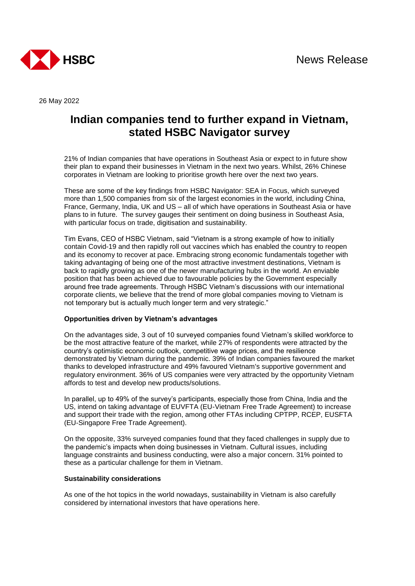

26 May 2022

## **Indian companies tend to further expand in Vietnam, stated HSBC Navigator survey**

21% of Indian companies that have operations in Southeast Asia or expect to in future show their plan to expand their businesses in Vietnam in the next two years. Whilst, 26% Chinese corporates in Vietnam are looking to prioritise growth here over the next two years.

These are some of the key findings from HSBC Navigator: SEA in Focus, which surveyed more than 1,500 companies from six of the largest economies in the world, including China, France, Germany, India, UK and US – all of which have operations in Southeast Asia or have plans to in future. The survey gauges their sentiment on doing business in Southeast Asia, with particular focus on trade, digitisation and sustainability.

Tim Evans, CEO of HSBC Vietnam, said "Vietnam is a strong example of how to initially contain Covid-19 and then rapidly roll out vaccines which has enabled the country to reopen and its economy to recover at pace. Embracing strong economic fundamentals together with taking advantaging of being one of the most attractive investment destinations, Vietnam is back to rapidly growing as one of the newer manufacturing hubs in the world. An enviable position that has been achieved due to favourable policies by the Government especially around free trade agreements. Through HSBC Vietnam's discussions with our international corporate clients, we believe that the trend of more global companies moving to Vietnam is not temporary but is actually much longer term and very strategic."

## **Opportunities driven by Vietnam's advantages**

On the advantages side, 3 out of 10 surveyed companies found Vietnam's skilled workforce to be the most attractive feature of the market, while 27% of respondents were attracted by the country's optimistic economic outlook, competitive wage prices, and the resilience demonstrated by Vietnam during the pandemic. 39% of Indian companies favoured the market thanks to developed infrastructure and 49% favoured Vietnam's supportive government and regulatory environment. 36% of US companies were very attracted by the opportunity Vietnam affords to test and develop new products/solutions.

In parallel, up to 49% of the survey's participants, especially those from China, India and the US, intend on taking advantage of EUVFTA (EU-Vietnam Free Trade Agreement) to increase and support their trade with the region, among other FTAs including CPTPP, RCEP, EUSFTA (EU-Singapore Free Trade Agreement).

On the opposite, 33% surveyed companies found that they faced challenges in supply due to the pandemic's impacts when doing businesses in Vietnam. Cultural issues, including language constraints and business conducting, were also a major concern. 31% pointed to these as a particular challenge for them in Vietnam.

## **Sustainability considerations**

As one of the hot topics in the world nowadays, sustainability in Vietnam is also carefully considered by international investors that have operations here.